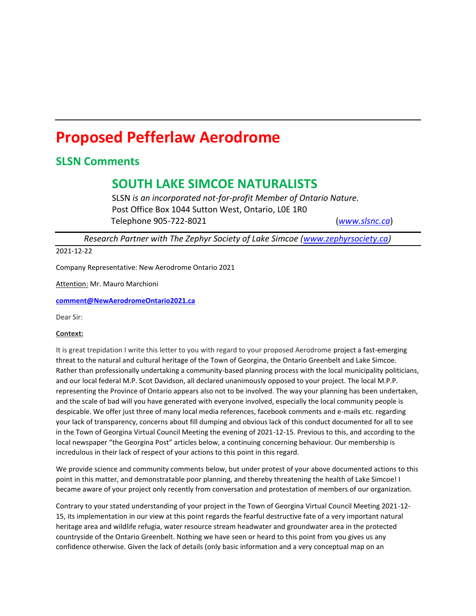# **Proposed Pefferlaw Aerodrome**

### **SLSN Comments**

## **SOUTH LAKE SIMCOE NATURALISTS**

SLSN *is an incorporated not-for-profit Member of Ontario Nature.* Post Office Box 1044 Sutton West, Ontario, L0E 1R0 Telephone 905-722-8021 (*[www.slsnc.ca](http://www.slsnc.ca/)*)

*Research Partner with The Zephyr Society of Lake Simcoe [\(www.zephyrsociety.ca\)](http://www.zephyrsociety.ca/)*

#### 2021-12-22

Company Representative: New Aerodrome Ontario 2021

Attention: Mr. Mauro Marchioni

**[comment@NewAerodromeOntario2021.ca](mailto:comment@NewAerodromeOntario2021.ca)**

Dear Sir:

#### **Context:**

It is great trepidation I write this letter to you with regard to your proposed Aerodrome project a fast-emerging threat to the natural and cultural heritage of the Town of Georgina, the Ontario Greenbelt and Lake Simcoe. Rather than professionally undertaking a community-based planning process with the local municipality politicians, and our local federal M.P. Scot Davidson, all declared unanimously opposed to your project. The local M.P.P. representing the Province of Ontario appears also not to be involved. The way your planning has been undertaken, and the scale of bad will you have generated with everyone involved, especially the local community people is despicable. We offer just three of many local media references, facebook comments and e-mails etc. regarding your lack of transparency, concerns about fill dumping and obvious lack of this conduct documented for all to see in the Town of Georgina Virtual Council Meeting the evening of 2021-12-15. Previous to this, and according to the local newspaper "the Georgina Post" articles below, a continuing concerning behaviour. Our membership is incredulous in their lack of respect of your actions to this point in this regard.

We provide science and community comments below, but under protest of your above documented actions to this point in this matter, and demonstratable poor planning, and thereby threatening the health of Lake Simcoe! I became aware of your project only recently from conversation and protestation of members of our organization.

Contrary to your stated understanding of your project in the Town of Georgina Virtual Council Meeting 2021-12- 15, its implementation in our view at this point regards the fearful destructive fate of a very important natural heritage area and wildlife refugia, water resource stream headwater and groundwater area in the protected countryside of the Ontario Greenbelt. Nothing we have seen or heard to this point from you gives us any confidence otherwise. Given the lack of details (only basic information and a very conceptual map on an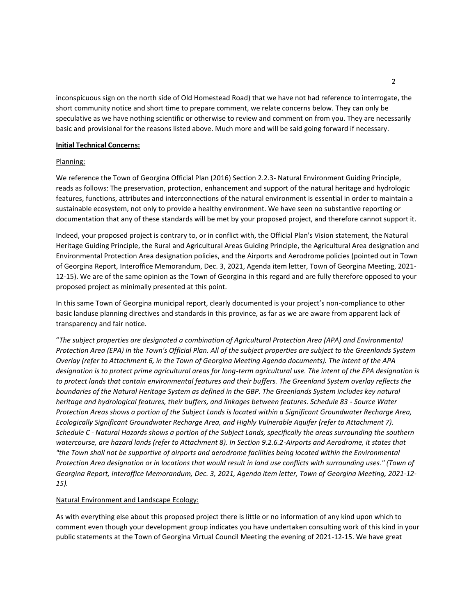inconspicuous sign on the north side of Old Homestead Road) that we have not had reference to interrogate, the short community notice and short time to prepare comment, we relate concerns below. They can only be speculative as we have nothing scientific or otherwise to review and comment on from you. They are necessarily basic and provisional for the reasons listed above. Much more and will be said going forward if necessary.

#### **Initial Technical Concerns:**

#### Planning:

We reference the Town of Georgina Official Plan (2016) Section 2.2.3- Natural Environment Guiding Principle, reads as follows: The preservation, protection, enhancement and support of the natural heritage and hydrologic features, functions, attributes and interconnections of the natural environment is essential in order to maintain a sustainable ecosystem, not only to provide a healthy environment. We have seen no substantive reporting or documentation that any of these standards will be met by your proposed project, and therefore cannot support it.

Indeed, your proposed project is contrary to, or in conflict with, the Official Plan's Vision statement, the Natural Heritage Guiding Principle, the Rural and Agricultural Areas Guiding Principle, the Agricultural Area designation and Environmental Protection Area designation policies, and the Airports and Aerodrome policies (pointed out in Town of Georgina Report, Interoffice Memorandum, Dec. 3, 2021, Agenda item letter, Town of Georgina Meeting, 2021- 12-15). We are of the same opinion as the Town of Georgina in this regard and are fully therefore opposed to your proposed project as minimally presented at this point.

In this same Town of Georgina municipal report, clearly documented is your project's non-compliance to other basic landuse planning directives and standards in this province, as far as we are aware from apparent lack of transparency and fair notice.

"*The subject properties are designated a combination of Agricultural Protection Area (APA) and Environmental Protection Area (EPA) in the Town's Official Plan. All of the subject properties are subject to the Greenlands System Overlay (refer to Attachment 6, in the Town of Georgina Meeting Agenda documents). The intent of the APA designation is to protect prime agricultural areas for long-term agricultural use. The intent of the EPA designation is to protect lands that contain environmental features and their buffers. The Greenland System overlay reflects the boundaries of the Natural Heritage System as defined in the GBP. The Greenlands System includes key natural heritage and hydrological features, their buffers, and linkages between features. Schedule 83 - Source Water Protection Areas shows a portion of the Subject Lands is located within a Significant Groundwater Recharge Area, Ecologically Significant Groundwater Recharge Area, and Highly Vulnerable Aquifer (refer to Attachment 7). Schedule C - Natural Hazards shows a portion of the Subject Lands, specifically the areas surrounding the southern watercourse, are hazard lands (refer to Attachment 8). In Section 9.2.6.2-Airports and Aerodrome, it states that "the Town shall not be supportive of airports and aerodrome facilities being located within the Environmental Protection Area designation or in locations that would result in land use conflicts with surrounding uses." (Town of Georgina Report, Interoffice Memorandum, Dec. 3, 2021, Agenda item letter, Town of Georgina Meeting, 2021-12- 15).*

#### Natural Environment and Landscape Ecology:

As with everything else about this proposed project there is little or no information of any kind upon which to comment even though your development group indicates you have undertaken consulting work of this kind in your public statements at the Town of Georgina Virtual Council Meeting the evening of 2021-12-15. We have great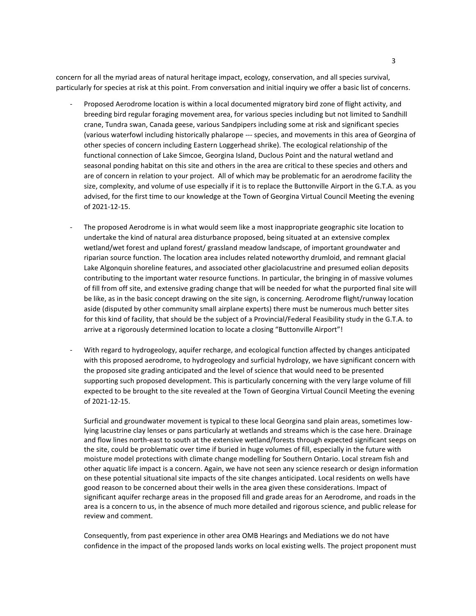concern for all the myriad areas of natural heritage impact, ecology, conservation, and all species survival, particularly for species at risk at this point. From conversation and initial inquiry we offer a basic list of concerns.

- Proposed Aerodrome location is within a local documented migratory bird zone of flight activity, and breeding bird regular foraging movement area, for various species including but not limited to Sandhill crane, Tundra swan, Canada geese, various Sandpipers including some at risk and significant species (various waterfowl including historically phalarope --- species, and movements in this area of Georgina of other species of concern including Eastern Loggerhead shrike). The ecological relationship of the functional connection of Lake Simcoe, Georgina Island, Duclous Point and the natural wetland and seasonal ponding habitat on this site and others in the area are critical to these species and others and are of concern in relation to your project. All of which may be problematic for an aerodrome facility the size, complexity, and volume of use especially if it is to replace the Buttonville Airport in the G.T.A. as you advised, for the first time to our knowledge at the Town of Georgina Virtual Council Meeting the evening of 2021-12-15.
- The proposed Aerodrome is in what would seem like a most inappropriate geographic site location to undertake the kind of natural area disturbance proposed, being situated at an extensive complex wetland/wet forest and upland forest/ grassland meadow landscape, of important groundwater and riparian source function. The location area includes related noteworthy drumloid, and remnant glacial Lake Algonquin shoreline features, and associated other glaciolacustrine and presumed eolian deposits contributing to the important water resource functions. In particular, the bringing in of massive volumes of fill from off site, and extensive grading change that will be needed for what the purported final site will be like, as in the basic concept drawing on the site sign, is concerning. Aerodrome flight/runway location aside (disputed by other community small airplane experts) there must be numerous much better sites for this kind of facility, that should be the subject of a Provincial/Federal Feasibility study in the G.T.A. to arrive at a rigorously determined location to locate a closing "Buttonville Airport"!
- With regard to hydrogeology, aquifer recharge, and ecological function affected by changes anticipated with this proposed aerodrome, to hydrogeology and surficial hydrology, we have significant concern with the proposed site grading anticipated and the level of science that would need to be presented supporting such proposed development. This is particularly concerning with the very large volume of fill expected to be brought to the site revealed at the Town of Georgina Virtual Council Meeting the evening of 2021-12-15.

Surficial and groundwater movement is typical to these local Georgina sand plain areas, sometimes lowlying lacustrine clay lenses or pans particularly at wetlands and streams which is the case here. Drainage and flow lines north-east to south at the extensive wetland/forests through expected significant seeps on the site, could be problematic over time if buried in huge volumes of fill, especially in the future with moisture model protections with climate change modelling for Southern Ontario. Local stream fish and other aquatic life impact is a concern. Again, we have not seen any science research or design information on these potential situational site impacts of the site changes anticipated. Local residents on wells have good reason to be concerned about their wells in the area given these considerations. Impact of significant aquifer recharge areas in the proposed fill and grade areas for an Aerodrome, and roads in the area is a concern to us, in the absence of much more detailed and rigorous science, and public release for review and comment.

Consequently, from past experience in other area OMB Hearings and Mediations we do not have confidence in the impact of the proposed lands works on local existing wells. The project proponent must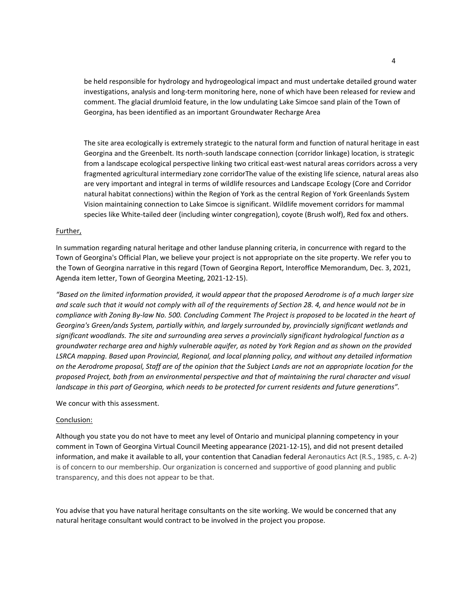be held responsible for hydrology and hydrogeological impact and must undertake detailed ground water investigations, analysis and long-term monitoring here, none of which have been released for review and comment. The glacial drumloid feature, in the low undulating Lake Simcoe sand plain of the Town of Georgina, has been identified as an important Groundwater Recharge Area

The site area ecologically is extremely strategic to the natural form and function of natural heritage in east Georgina and the Greenbelt. Its north-south landscape connection (corridor linkage) location, is strategic from a landscape ecological perspective linking two critical east-west natural areas corridors across a very fragmented agricultural intermediary zone corridorThe value of the existing life science, natural areas also are very important and integral in terms of wildlife resources and Landscape Ecology (Core and Corridor natural habitat connections) within the Region of York as the central Region of York Greenlands System Vision maintaining connection to Lake Simcoe is significant. Wildlife movement corridors for mammal species like White-tailed deer (including winter congregation), coyote (Brush wolf), Red fox and others.

#### Further,

In summation regarding natural heritage and other landuse planning criteria, in concurrence with regard to the Town of Georgina's Official Plan, we believe your project is not appropriate on the site property. We refer you to the Town of Georgina narrative in this regard (Town of Georgina Report, Interoffice Memorandum, Dec. 3, 2021, Agenda item letter, Town of Georgina Meeting, 2021-12-15).

*"Based on the limited information provided, it would appear that the proposed Aerodrome is of a much larger size and scale such that it would not comply with all of the requirements of Section 28. 4, and hence would not be in compliance with Zoning By-law No. 500. Concluding Comment The Project is proposed to be located in the heart of Georgina's Green/ands System, partially within, and largely surrounded by, provincially significant wetlands and significant woodlands. The site and surrounding area serves a provincially significant hydrological function as a groundwater recharge area and highly vulnerable aquifer, as noted by York Region and as shown on the provided LSRCA mapping. Based upon Provincial, Regional, and local planning policy, and without any detailed information on the Aerodrome proposal, Staff are of the opinion that the Subject Lands are not an appropriate location for the proposed Project, both from an environmental perspective and that of maintaining the rural character and visual landscape in this part of Georgina, which needs to be protected for current residents and future generations".*

We concur with this assessment.

#### Conclusion:

Although you state you do not have to meet any level of Ontario and municipal planning competency in your comment in Town of Georgina Virtual Council Meeting appearance (2021-12-15), and did not present detailed information, and make it available to all, your contention that Canadian federal Aeronautics Act (R.S., 1985, c. A-2) is of concern to our membership. Our organization is concerned and supportive of good planning and public transparency, and this does not appear to be that.

You advise that you have natural heritage consultants on the site working. We would be concerned that any natural heritage consultant would contract to be involved in the project you propose.